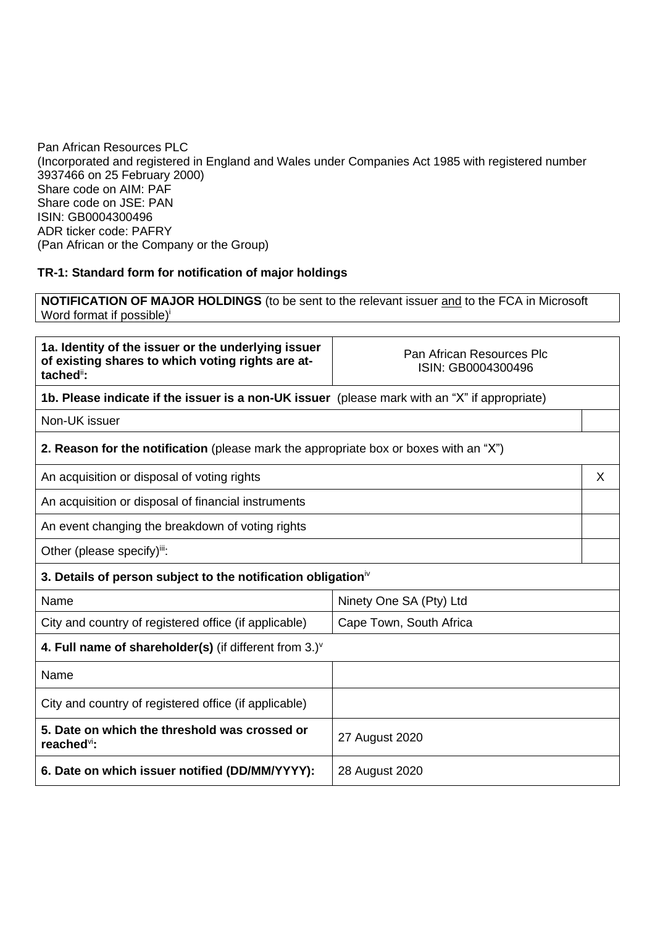Pan African Resources PLC (Incorporated and registered in England and Wales under Companies Act 1985 with registered number 3937466 on 25 February 2000) Share code on AIM: PAF Share code on JSE: PAN ISIN: GB0004300496 ADR ticker code: PAFRY (Pan African or the Company or the Group)

## **TR-1: Standard form for notification of major holdings**

**NOTIFICATION OF MAJOR HOLDINGS** (to be sent to the relevant issuer and to the FCA in Microsoft Word format if possible)<sup>i</sup>

| 1a. Identity of the issuer or the underlying issuer<br>of existing shares to which voting rights are at-<br>tached <sup>ii</sup> : | Pan African Resources Plc<br>ISIN: GB0004300496 |   |  |
|------------------------------------------------------------------------------------------------------------------------------------|-------------------------------------------------|---|--|
| 1b. Please indicate if the issuer is a non-UK issuer (please mark with an "X" if appropriate)                                      |                                                 |   |  |
| Non-UK issuer                                                                                                                      |                                                 |   |  |
| <b>2. Reason for the notification</b> (please mark the appropriate box or boxes with an "X")                                       |                                                 |   |  |
| An acquisition or disposal of voting rights                                                                                        |                                                 | X |  |
| An acquisition or disposal of financial instruments                                                                                |                                                 |   |  |
| An event changing the breakdown of voting rights                                                                                   |                                                 |   |  |
| Other (please specify)ii:                                                                                                          |                                                 |   |  |
| 3. Details of person subject to the notification obligation <sup>iv</sup>                                                          |                                                 |   |  |
| Name                                                                                                                               | Ninety One SA (Pty) Ltd                         |   |  |
| City and country of registered office (if applicable)<br>Cape Town, South Africa                                                   |                                                 |   |  |
| 4. Full name of shareholder(s) (if different from $3.$ ) $\vee$                                                                    |                                                 |   |  |
| Name                                                                                                                               |                                                 |   |  |
| City and country of registered office (if applicable)                                                                              |                                                 |   |  |
| 5. Date on which the threshold was crossed or<br>reached <sup>vi</sup> :                                                           | 27 August 2020                                  |   |  |
| 6. Date on which issuer notified (DD/MM/YYYY):                                                                                     | 28 August 2020                                  |   |  |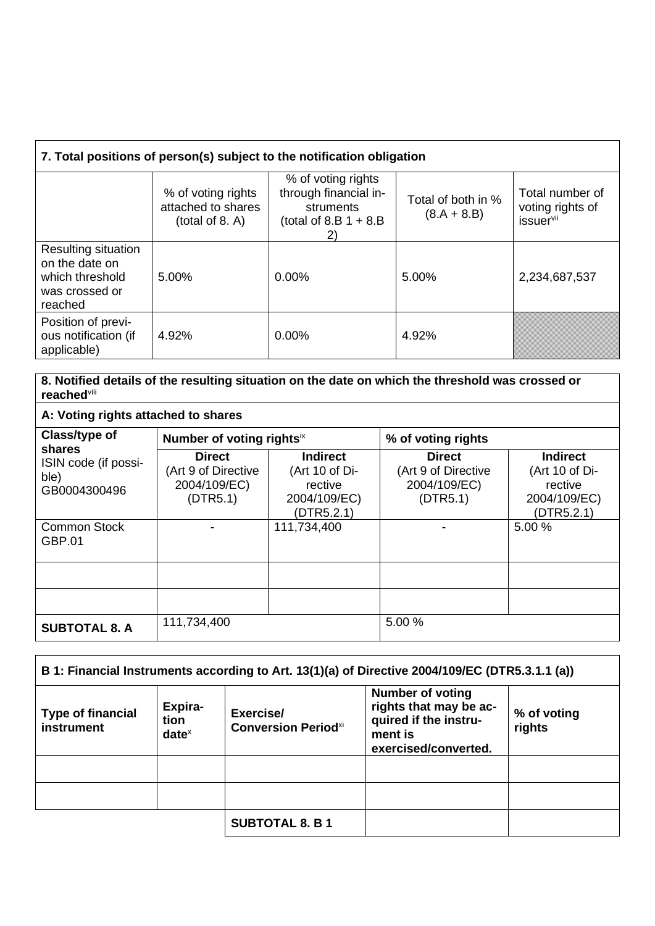|  | 7. Total positions of person(s) subject to the notification obligation |
|--|------------------------------------------------------------------------|
|  |                                                                        |

|                                                                                       | % of voting rights<br>attached to shares<br>(total of 8. A) | % of voting rights<br>through financial in-<br>struments<br>(total of 8.B $1 + 8$ .B<br>2) | Total of both in %<br>$(8.A + 8.B)$ | Total number of<br>voting rights of<br>issuer <sup>vii</sup> |
|---------------------------------------------------------------------------------------|-------------------------------------------------------------|--------------------------------------------------------------------------------------------|-------------------------------------|--------------------------------------------------------------|
| Resulting situation<br>on the date on<br>which threshold<br>was crossed or<br>reached | 5.00%                                                       | $0.00\%$                                                                                   | 5.00%                               | 2,234,687,537                                                |
| Position of previ-<br>ous notification (if<br>applicable)                             | 4.92%                                                       | $0.00\%$                                                                                   | 4.92%                               |                                                              |

**8. Notified details of the resulting situation on the date on which the threshold was crossed or reached**viii

**A: Voting rights attached to shares**

| Class/type of                                          | Number of voting rightsix                                        |                                                                            | % of voting rights                                               |                                                                            |
|--------------------------------------------------------|------------------------------------------------------------------|----------------------------------------------------------------------------|------------------------------------------------------------------|----------------------------------------------------------------------------|
| shares<br>ISIN code (if possi-<br>ble)<br>GB0004300496 | <b>Direct</b><br>(Art 9 of Directive<br>2004/109/EC)<br>(DTR5.1) | <b>Indirect</b><br>(Art 10 of Di-<br>rective<br>2004/109/EC)<br>(DTR5.2.1) | <b>Direct</b><br>(Art 9 of Directive<br>2004/109/EC)<br>(DTR5.1) | <b>Indirect</b><br>(Art 10 of Di-<br>rective<br>2004/109/EC)<br>(DTR5.2.1) |
| <b>Common Stock</b><br>GBP.01                          |                                                                  | 111,734,400                                                                |                                                                  | 5.00 %                                                                     |
|                                                        |                                                                  |                                                                            |                                                                  |                                                                            |
|                                                        |                                                                  |                                                                            |                                                                  |                                                                            |
| <b>SUBTOTAL 8. A</b>                                   | 111,734,400                                                      |                                                                            | 5.00 %                                                           |                                                                            |

| B 1: Financial Instruments according to Art. 13(1)(a) of Directive 2004/109/EC (DTR5.3.1.1 (a)) |                             |                                         |                                                                                                               |                       |
|-------------------------------------------------------------------------------------------------|-----------------------------|-----------------------------------------|---------------------------------------------------------------------------------------------------------------|-----------------------|
| <b>Type of financial</b><br>instrument                                                          | Expira-<br>tion<br>$date^x$ | Exercise/<br><b>Conversion Periodxi</b> | <b>Number of voting</b><br>rights that may be ac-<br>quired if the instru-<br>ment is<br>exercised/converted. | % of voting<br>rights |
|                                                                                                 |                             |                                         |                                                                                                               |                       |
|                                                                                                 |                             |                                         |                                                                                                               |                       |
|                                                                                                 |                             | <b>SUBTOTAL 8. B 1</b>                  |                                                                                                               |                       |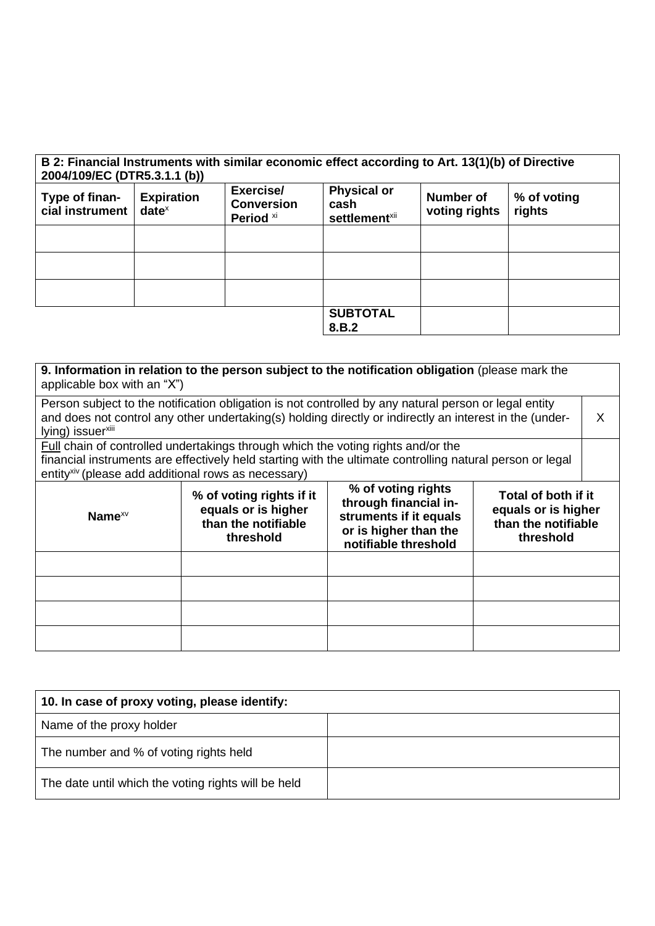| B 2: Financial Instruments with similar economic effect according to Art. 13(1)(b) of Directive<br>2004/109/EC (DTR5.3.1.1 (b)) |                               |                                                        |                                                         |                            |                       |
|---------------------------------------------------------------------------------------------------------------------------------|-------------------------------|--------------------------------------------------------|---------------------------------------------------------|----------------------------|-----------------------|
| Type of finan-<br>cial instrument                                                                                               | <b>Expiration</b><br>$date^x$ | Exercise/<br><b>Conversion</b><br>Period <sup>xi</sup> | <b>Physical or</b><br>cash<br>settlement <sup>xii</sup> | Number of<br>voting rights | % of voting<br>rights |
|                                                                                                                                 |                               |                                                        |                                                         |                            |                       |
|                                                                                                                                 |                               |                                                        |                                                         |                            |                       |
|                                                                                                                                 |                               |                                                        |                                                         |                            |                       |
|                                                                                                                                 |                               |                                                        | <b>SUBTOTAL</b><br>8.B.2                                |                            |                       |

| 9. Information in relation to the person subject to the notification obligation (please mark the<br>applicable box with an "X")                                                                                  |                                                                                                                                                                                                                                                                                                 |  |  |   |
|------------------------------------------------------------------------------------------------------------------------------------------------------------------------------------------------------------------|-------------------------------------------------------------------------------------------------------------------------------------------------------------------------------------------------------------------------------------------------------------------------------------------------|--|--|---|
| Person subject to the notification obligation is not controlled by any natural person or legal entity<br>and does not control any other undertaking(s) holding directly or indirectly an interest in the (under- |                                                                                                                                                                                                                                                                                                 |  |  | X |
| lying) issuer <sup>xiii</sup>                                                                                                                                                                                    |                                                                                                                                                                                                                                                                                                 |  |  |   |
|                                                                                                                                                                                                                  | Full chain of controlled undertakings through which the voting rights and/or the                                                                                                                                                                                                                |  |  |   |
| entity <sup>xiv</sup> (please add additional rows as necessary)                                                                                                                                                  | financial instruments are effectively held starting with the ultimate controlling natural person or legal                                                                                                                                                                                       |  |  |   |
| Name $x \vee$                                                                                                                                                                                                    | % of voting rights<br>% of voting rights if it<br>Total of both if it<br>through financial in-<br>equals or is higher<br>equals or is higher<br>struments if it equals<br>than the notifiable<br>than the notifiable<br>or is higher than the<br>threshold<br>threshold<br>notifiable threshold |  |  |   |
|                                                                                                                                                                                                                  |                                                                                                                                                                                                                                                                                                 |  |  |   |
|                                                                                                                                                                                                                  |                                                                                                                                                                                                                                                                                                 |  |  |   |
|                                                                                                                                                                                                                  |                                                                                                                                                                                                                                                                                                 |  |  |   |
|                                                                                                                                                                                                                  |                                                                                                                                                                                                                                                                                                 |  |  |   |

| 10. In case of proxy voting, please identify:       |  |
|-----------------------------------------------------|--|
| Name of the proxy holder                            |  |
| The number and % of voting rights held              |  |
| The date until which the voting rights will be held |  |